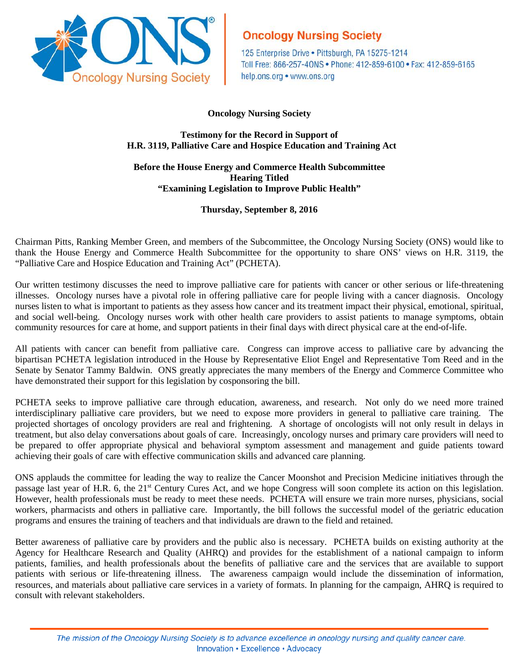

# **Oncology Nursing Society**

125 Enterprise Drive . Pittsburgh, PA 15275-1214 Toll Free: 866-257-40NS . Phone: 412-859-6100 . Fax: 412-859-6165 help.ons.org • www.ons.org

### **Oncology Nursing Society**

### **Testimony for the Record in Support of H.R. 3119, Palliative Care and Hospice Education and Training Act**

### **Before the House Energy and Commerce Health Subcommittee Hearing Titled "Examining Legislation to Improve Public Health"**

## **Thursday, September 8, 2016**

Chairman Pitts, Ranking Member Green, and members of the Subcommittee, the Oncology Nursing Society (ONS) would like to thank the House Energy and Commerce Health Subcommittee for the opportunity to share ONS' views on H.R. 3119, the "Palliative Care and Hospice Education and Training Act" (PCHETA).

Our written testimony discusses the need to improve palliative care for patients with cancer or other serious or life-threatening illnesses. Oncology nurses have a pivotal role in offering palliative care for people living with a cancer diagnosis. Oncology nurses listen to what is important to patients as they assess how cancer and its treatment impact their physical, emotional, spiritual, and social well-being. Oncology nurses work with other health care providers to assist patients to manage symptoms, obtain community resources for care at home, and support patients in their final days with direct physical care at the end-of-life.

All patients with cancer can benefit from palliative care. Congress can improve access to palliative care by advancing the bipartisan PCHETA legislation introduced in the House by Representative Eliot Engel and Representative Tom Reed and in the Senate by Senator Tammy Baldwin. ONS greatly appreciates the many members of the Energy and Commerce Committee who have demonstrated their support for this legislation by cosponsoring the bill.

PCHETA seeks to improve palliative care through education, awareness, and research. Not only do we need more trained interdisciplinary palliative care providers, but we need to expose more providers in general to palliative care training. The projected shortages of oncology providers are real and frightening. A shortage of oncologists will not only result in delays in treatment, but also delay conversations about goals of care. Increasingly, oncology nurses and primary care providers will need to be prepared to offer appropriate physical and behavioral symptom assessment and management and guide patients toward achieving their goals of care with effective communication skills and advanced care planning.

ONS applauds the committee for leading the way to realize the Cancer Moonshot and Precision Medicine initiatives through the passage last year of H.R. 6, the 21<sup>st</sup> Century Cures Act, and we hope Congress will soon complete its action on this legislation. However, health professionals must be ready to meet these needs. PCHETA will ensure we train more nurses, physicians, social workers, pharmacists and others in palliative care. Importantly, the bill follows the successful model of the geriatric education programs and ensures the training of teachers and that individuals are drawn to the field and retained.

Better awareness of palliative care by providers and the public also is necessary. PCHETA builds on existing authority at the Agency for Healthcare Research and Quality (AHRQ) and provides for the establishment of a national campaign to inform patients, families, and health professionals about the benefits of palliative care and the services that are available to support patients with serious or life-threatening illness. The awareness campaign would include the dissemination of information, resources, and materials about palliative care services in a variety of formats. In planning for the campaign, AHRQ is required to consult with relevant stakeholders.